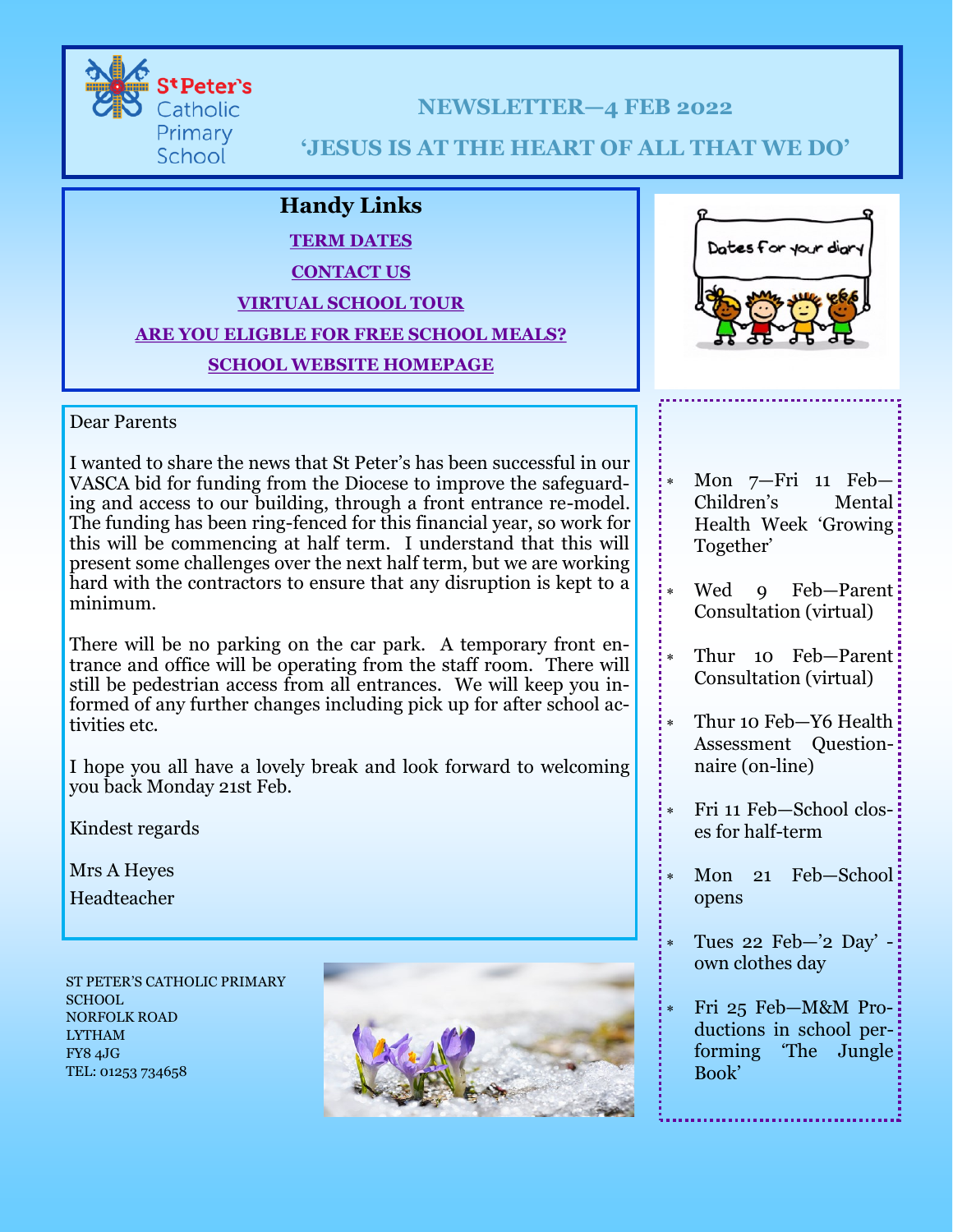

**NEWSLETTER—4 FEB 2022**

# **'JESUS IS AT THE HEART OF ALL THAT WE DO'**

# **Handy Links**

# **[TERM DATES](https://www.st-peters-pri.lancs.sch.uk/school-life/termdates)**

## **[CONTACT U](https://www.st-peters-pri.lancs.sch.uk/contact)S**

### **[VIRTUAL](https://www.st-peters-pri.lancs.sch.uk/our-school/welcome/virtual-school-tour) SCHOOL TOUR**

## **ARE YOU [ELIGBLE F](https://www.lancashire.gov.uk/children-education-families/schools/free-school-meals/)OR FREE SCHOOL MEALS?**

# **SCHOOL [WEBSITE](https://www.st-peters-pri.lancs.sch.uk/) HOMEPAGE**



#### Dear Parents

I wanted to share the news that St Peter's has been successful in our VASCA bid for funding from the Diocese to improve the safeguarding and access to our building, through a front entrance re-model. The funding has been ring-fenced for this financial year, so work for this will be commencing at half term. I understand that this will present some challenges over the next half term, but we are working hard with the contractors to ensure that any disruption is kept to a minimum.

There will be no parking on the car park. A temporary front entrance and office will be operating from the staff room. There will still be pedestrian access from all entrances. We will keep you informed of any further changes including pick up for after school activities etc.

I hope you all have a lovely break and look forward to welcoming you back Monday 21st Feb.

Kindest regards

Mrs A Heyes

Headteacher

ST PETER'S CATHOLIC PRIMARY SCHOOL. NORFOLK ROAD LYTHAM FY8 4JG TEL: 01253 734658



- Mon 7—Fri 11 Feb— Children's Mental Health Week 'Growing Together'
- Wed 9 Feb-Parent: Consultation (virtual)
- Thur 10 Feb-Parent: Consultation (virtual)
- Thur 10 Feb-Y6 Health Assessment Questionnaire (on-line)
- Fri 11 Feb—School closes for half-term
- Mon 21 Feb-School: opens
- Tues 22 Feb—'2 Day' own clothes day
- Fri 25 Feb—M&M Productions in school performing 'The Jungle Book'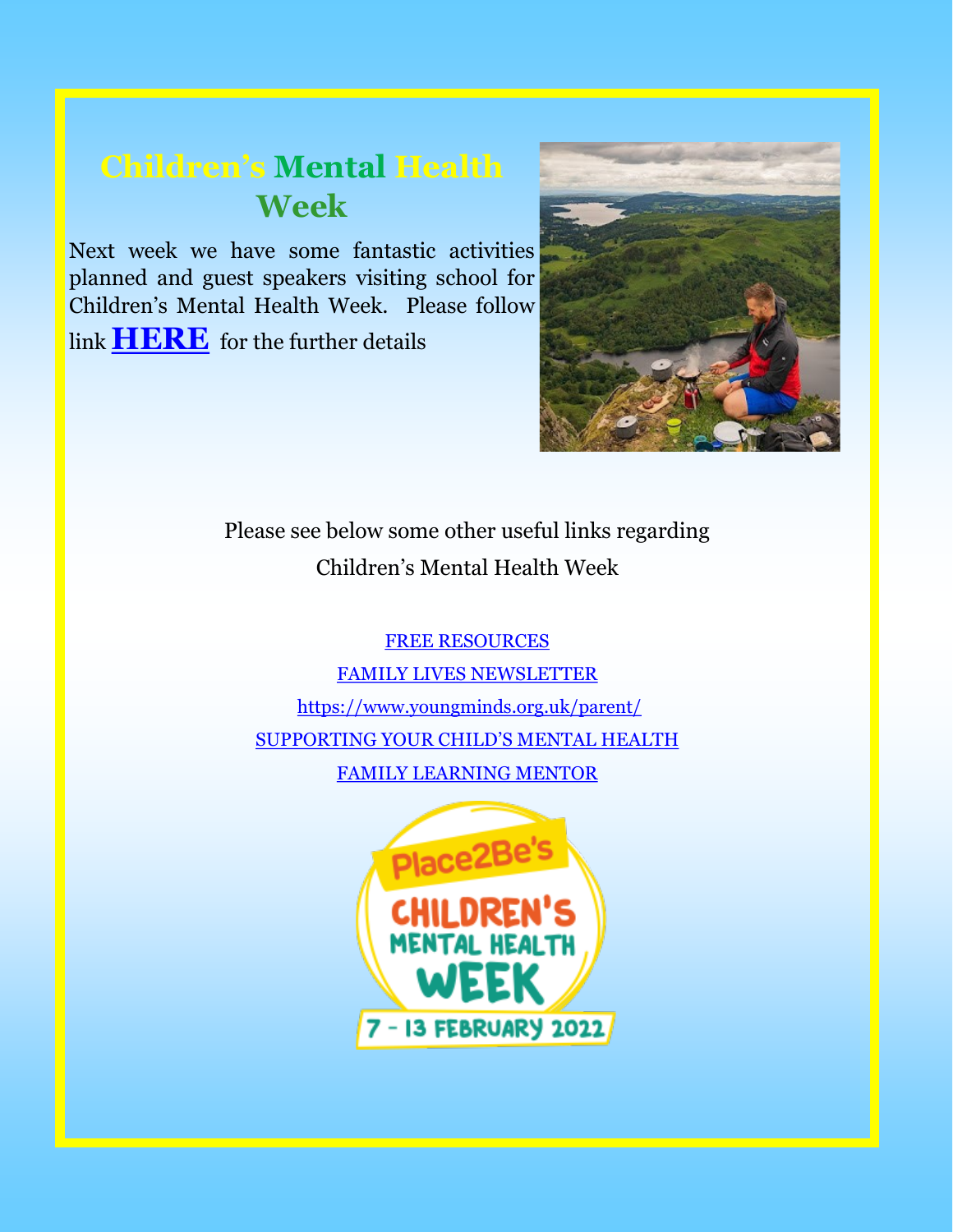# **Children's Mental Health Week**

Next week we have some fantastic activities planned and guest speakers visiting school for Children's Mental Health Week. Please follow link **[HERE](https://stpeterswellbeing.blogspot.com/)** for the further details



Please see below some other useful links regarding Children's Mental Health Week

[FREE RESOURCES](https://www.childrensmentalhealthweek.org.uk/parents-and-carers/?utm_source=Place2Be+E-news&utm_campaign=cfb0ed3a6e-childrens-mental-health-week-is-back-060122_COPY_0&utm_medium=email&utm_term=0_acf77df294-cfb0ed3a6e-219788039) [FAMILY LIVES NEWSLETTER](https://mailchi.mp/familylives.org.uk/family-lives-newsletter-jan22?e=15b70c4bef) <https://www.youngminds.org.uk/parent/> [SUPPORTING YOUR CHILD'S MENTAL HEALTH](https://www.place2be.org.uk/our-services/parents-and-carers/supporting-your-child-s-mental-health/) [FAMILY LEARNING MENTOR](https://www.st-peters-pri.lancs.sch.uk/parents/learning-mentor-parent-support-information)